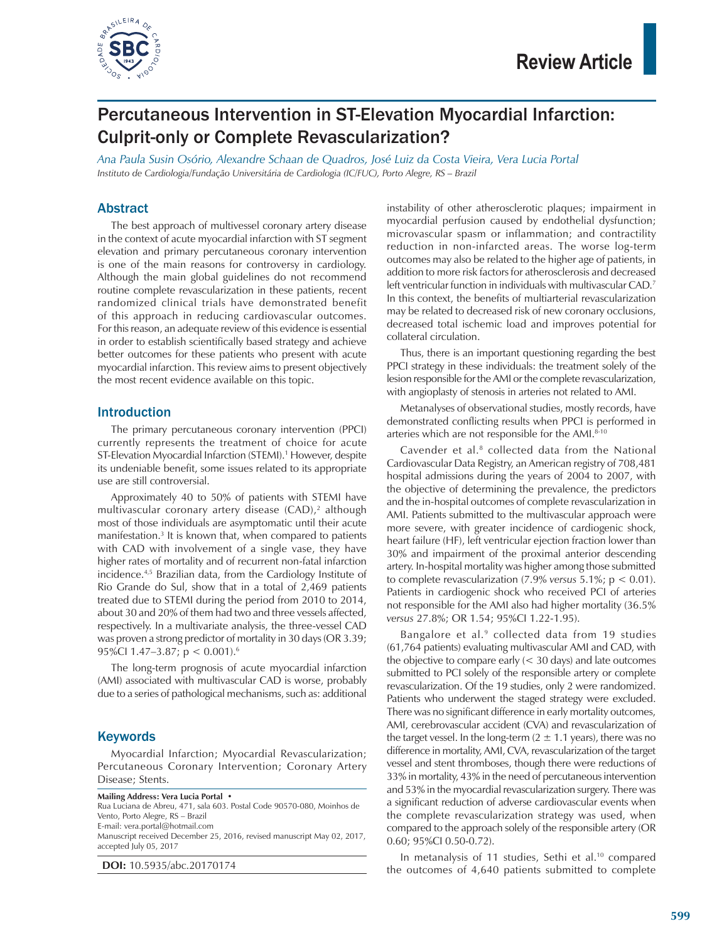

## Percutaneous Intervention in ST-Elevation Myocardial Infarction: Culprit-only or Complete Revascularization?

*Ana Paula Susin Osório, Alexandre Schaan de Quadros, José Luiz da Costa Vieira, Vera Lucia Portal Instituto de Cardiologia/Fundação Universitária de Cardiologia (IC/FUC), Porto Alegre, RS – Brazil*

#### Abstract

The best approach of multivessel coronary artery disease in the context of acute myocardial infarction with ST segment elevation and primary percutaneous coronary intervention is one of the main reasons for controversy in cardiology. Although the main global guidelines do not recommend routine complete revascularization in these patients, recent randomized clinical trials have demonstrated benefit of this approach in reducing cardiovascular outcomes. For this reason, an adequate review of this evidence is essential in order to establish scientifically based strategy and achieve better outcomes for these patients who present with acute myocardial infarction. This review aims to present objectively the most recent evidence available on this topic.

#### Introduction

The primary percutaneous coronary intervention (PPCI) currently represents the treatment of choice for acute ST-Elevation Myocardial Infarction (STEMI).<sup>1</sup> However, despite its undeniable benefit, some issues related to its appropriate use are still controversial.

Approximately 40 to 50% of patients with STEMI have multivascular coronary artery disease  $(CAD)$ ,<sup>2</sup> although most of those individuals are asymptomatic until their acute manifestation.<sup>3</sup> It is known that, when compared to patients with CAD with involvement of a single vase, they have higher rates of mortality and of recurrent non-fatal infarction incidence.4,5 Brazilian data, from the Cardiology Institute of Rio Grande do Sul, show that in a total of 2,469 patients treated due to STEMI during the period from 2010 to 2014, about 30 and 20% of them had two and three vessels affected, respectively. In a multivariate analysis, the three-vessel CAD was proven a strong predictor of mortality in 30 days (OR 3.39; 95%Cl 1.47-3.87;  $p < 0.001$ .<sup>6</sup>

The long-term prognosis of acute myocardial infarction (AMI) associated with multivascular CAD is worse, probably due to a series of pathological mechanisms, such as: additional

#### **Keywords**

Myocardial Infarction; Myocardial Revascularization; Percutaneous Coronary Intervention; Coronary Artery Disease; Stents.

**Mailing Address: Vera Lucia Portal •**

Rua Luciana de Abreu, 471, sala 603. Postal Code 90570-080, Moinhos de Vento, Porto Alegre, RS – Brazil

E-mail: vera.portal@hotmail.com

Manuscript received December 25, 2016, revised manuscript May 02, 2017, accepted July 05, 2017

**DOI:** 10.5935/abc.20170174

instability of other atherosclerotic plaques; impairment in myocardial perfusion caused by endothelial dysfunction; microvascular spasm or inflammation; and contractility reduction in non-infarcted areas. The worse log-term outcomes may also be related to the higher age of patients, in addition to more risk factors for atherosclerosis and decreased left ventricular function in individuals with multivascular CAD.7 In this context, the benefits of multiarterial revascularization may be related to decreased risk of new coronary occlusions, decreased total ischemic load and improves potential for collateral circulation.

Thus, there is an important questioning regarding the best PPCI strategy in these individuals: the treatment solely of the lesion responsible for the AMI or the complete revascularization, with angioplasty of stenosis in arteries not related to AMI.

Metanalyses of observational studies, mostly records, have demonstrated conflicting results when PPCI is performed in arteries which are not responsible for the AMI.8-10

Cavender et al.<sup>8</sup> collected data from the National Cardiovascular Data Registry, an American registry of 708,481 hospital admissions during the years of 2004 to 2007, with the objective of determining the prevalence, the predictors and the in-hospital outcomes of complete revascularization in AMI. Patients submitted to the multivascular approach were more severe, with greater incidence of cardiogenic shock, heart failure (HF), left ventricular ejection fraction lower than 30% and impairment of the proximal anterior descending artery. In-hospital mortality was higher among those submitted to complete revascularization (7.9% *versus* 5.1%; p < 0.01). Patients in cardiogenic shock who received PCI of arteries not responsible for the AMI also had higher mortality (36.5% *versus* 27.8%; OR 1.54; 95%CI 1.22-1.95).

Bangalore et al.<sup>9</sup> collected data from 19 studies (61,764 patients) evaluating multivascular AMI and CAD, with the objective to compare early (< 30 days) and late outcomes submitted to PCI solely of the responsible artery or complete revascularization. Of the 19 studies, only 2 were randomized. Patients who underwent the staged strategy were excluded. There was no significant difference in early mortality outcomes, AMI, cerebrovascular accident (CVA) and revascularization of the target vessel. In the long-term  $(2 \pm 1.1 \text{ years})$ , there was no difference in mortality, AMI, CVA, revascularization of the target vessel and stent thromboses, though there were reductions of 33% in mortality, 43% in the need of percutaneous intervention and 53% in the myocardial revascularization surgery. There was a significant reduction of adverse cardiovascular events when the complete revascularization strategy was used, when compared to the approach solely of the responsible artery (OR 0.60; 95%CI 0.50-0.72).

In metanalysis of 11 studies, Sethi et al.<sup>10</sup> compared the outcomes of 4,640 patients submitted to complete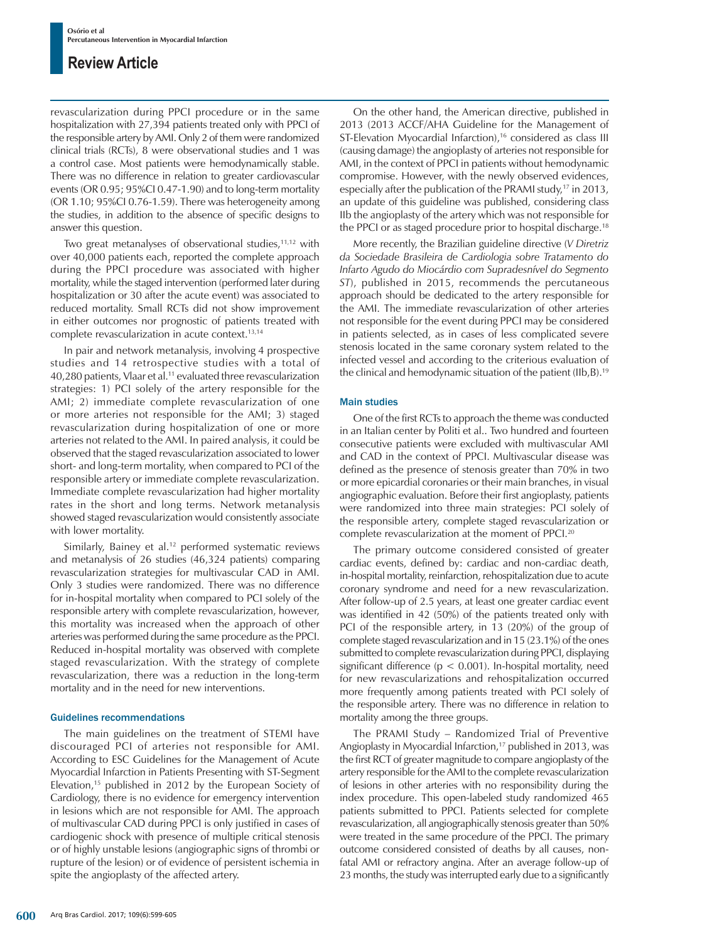revascularization during PPCI procedure or in the same hospitalization with 27,394 patients treated only with PPCI of the responsible artery by AMI. Only 2 of them were randomized clinical trials (RCTs), 8 were observational studies and 1 was a control case. Most patients were hemodynamically stable. There was no difference in relation to greater cardiovascular events (OR 0.95; 95%CI 0.47-1.90) and to long-term mortality (OR 1.10; 95%CI 0.76-1.59). There was heterogeneity among the studies, in addition to the absence of specific designs to answer this question.

Two great metanalyses of observational studies,<sup>11,12</sup> with over 40,000 patients each, reported the complete approach during the PPCI procedure was associated with higher mortality, while the staged intervention (performed later during hospitalization or 30 after the acute event) was associated to reduced mortality. Small RCTs did not show improvement in either outcomes nor prognostic of patients treated with complete revascularization in acute context.<sup>13,14</sup>

In pair and network metanalysis, involving 4 prospective studies and 14 retrospective studies with a total of 40,280 patients, Vlaar et al.<sup>11</sup> evaluated three revascularization strategies: 1) PCI solely of the artery responsible for the AMI; 2) immediate complete revascularization of one or more arteries not responsible for the AMI; 3) staged revascularization during hospitalization of one or more arteries not related to the AMI. In paired analysis, it could be observed that the staged revascularization associated to lower short- and long-term mortality, when compared to PCI of the responsible artery or immediate complete revascularization. Immediate complete revascularization had higher mortality rates in the short and long terms. Network metanalysis showed staged revascularization would consistently associate with lower mortality.

Similarly, Bainey et al.<sup>12</sup> performed systematic reviews and metanalysis of 26 studies (46,324 patients) comparing revascularization strategies for multivascular CAD in AMI. Only 3 studies were randomized. There was no difference for in-hospital mortality when compared to PCI solely of the responsible artery with complete revascularization, however, this mortality was increased when the approach of other arteries was performed during the same procedure as the PPCI. Reduced in-hospital mortality was observed with complete staged revascularization. With the strategy of complete revascularization, there was a reduction in the long-term mortality and in the need for new interventions.

#### Guidelines recommendations

The main guidelines on the treatment of STEMI have discouraged PCI of arteries not responsible for AMI. According to ESC Guidelines for the Management of Acute Myocardial Infarction in Patients Presenting with ST-Segment Elevation,15 published in 2012 by the European Society of Cardiology, there is no evidence for emergency intervention in lesions which are not responsible for AMI. The approach of multivascular CAD during PPCI is only justified in cases of cardiogenic shock with presence of multiple critical stenosis or of highly unstable lesions (angiographic signs of thrombi or rupture of the lesion) or of evidence of persistent ischemia in spite the angioplasty of the affected artery.

On the other hand, the American directive, published in 2013 (2013 ACCF/AHA Guideline for the Management of ST-Elevation Myocardial Infarction),<sup>16</sup> considered as class III (causing damage) the angioplasty of arteries not responsible for AMI, in the context of PPCI in patients without hemodynamic compromise. However, with the newly observed evidences, especially after the publication of the PRAMI study,<sup>17</sup> in 2013, an update of this guideline was published, considering class IIb the angioplasty of the artery which was not responsible for the PPCI or as staged procedure prior to hospital discharge.<sup>18</sup>

More recently, the Brazilian guideline directive (*V Diretriz da Sociedade Brasileira de Cardiologia sobre Tratamento do Infarto Agudo do Miocárdio com Supradesnível do Segmento ST*), published in 2015, recommends the percutaneous approach should be dedicated to the artery responsible for the AMI. The immediate revascularization of other arteries not responsible for the event during PPCI may be considered in patients selected, as in cases of less complicated severe stenosis located in the same coronary system related to the infected vessel and according to the criterious evaluation of the clinical and hemodynamic situation of the patient (IIb,B).19

#### Main studies

One of the first RCTs to approach the theme was conducted in an Italian center by Politi et al.. Two hundred and fourteen consecutive patients were excluded with multivascular AMI and CAD in the context of PPCI. Multivascular disease was defined as the presence of stenosis greater than 70% in two or more epicardial coronaries or their main branches, in visual angiographic evaluation. Before their first angioplasty, patients were randomized into three main strategies: PCI solely of the responsible artery, complete staged revascularization or complete revascularization at the moment of PPCI.<sup>20</sup>

The primary outcome considered consisted of greater cardiac events, defined by: cardiac and non-cardiac death, in-hospital mortality, reinfarction, rehospitalization due to acute coronary syndrome and need for a new revascularization. After follow-up of 2.5 years, at least one greater cardiac event was identified in 42 (50%) of the patients treated only with PCI of the responsible artery, in 13 (20%) of the group of complete staged revascularization and in 15 (23.1%) of the ones submitted to complete revascularization during PPCI, displaying significant difference ( $p < 0.001$ ). In-hospital mortality, need for new revascularizations and rehospitalization occurred more frequently among patients treated with PCI solely of the responsible artery. There was no difference in relation to mortality among the three groups.

The PRAMI Study – Randomized Trial of Preventive Angioplasty in Myocardial Infarction,<sup>17</sup> published in 2013, was the first RCT of greater magnitude to compare angioplasty of the artery responsible for the AMI to the complete revascularization of lesions in other arteries with no responsibility during the index procedure. This open-labeled study randomized 465 patients submitted to PPCI. Patients selected for complete revascularization, all angiographically stenosis greater than 50% were treated in the same procedure of the PPCI. The primary outcome considered consisted of deaths by all causes, nonfatal AMI or refractory angina. After an average follow-up of 23 months, the study was interrupted early due to a significantly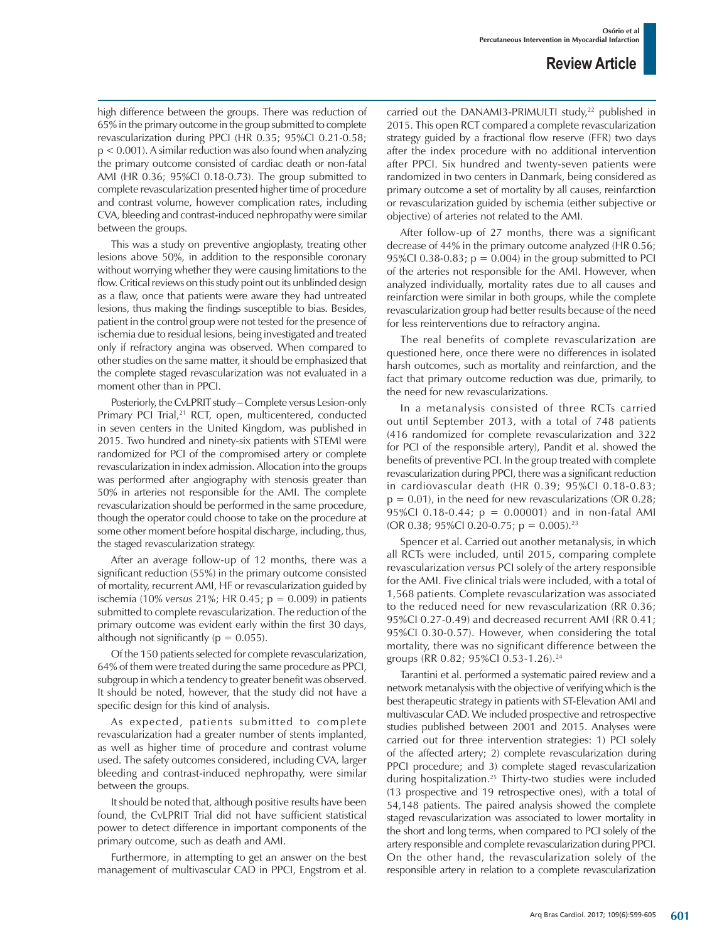high difference between the groups. There was reduction of 65% in the primary outcome in the group submitted to complete revascularization during PPCI (HR 0.35; 95%CI 0.21-0.58;  $p < 0.001$ ). A similar reduction was also found when analyzing the primary outcome consisted of cardiac death or non-fatal AMI (HR 0.36; 95%CI 0.18-0.73). The group submitted to complete revascularization presented higher time of procedure and contrast volume, however complication rates, including CVA, bleeding and contrast-induced nephropathy were similar between the groups.

This was a study on preventive angioplasty, treating other lesions above 50%, in addition to the responsible coronary without worrying whether they were causing limitations to the flow. Critical reviews on this study point out its unblinded design as a flaw, once that patients were aware they had untreated lesions, thus making the findings susceptible to bias. Besides, patient in the control group were not tested for the presence of ischemia due to residual lesions, being investigated and treated only if refractory angina was observed. When compared to other studies on the same matter, it should be emphasized that the complete staged revascularization was not evaluated in a moment other than in PPCI.

Posteriorly, the CvLPRIT study *–* Complete versus Lesion-only Primary PCI Trial,<sup>21</sup> RCT, open, multicentered, conducted in seven centers in the United Kingdom, was published in 2015. Two hundred and ninety-six patients with STEMI were randomized for PCI of the compromised artery or complete revascularization in index admission. Allocation into the groups was performed after angiography with stenosis greater than 50% in arteries not responsible for the AMI. The complete revascularization should be performed in the same procedure, though the operator could choose to take on the procedure at some other moment before hospital discharge, including, thus, the staged revascularization strategy.

After an average follow-up of 12 months, there was a significant reduction (55%) in the primary outcome consisted of mortality, recurrent AMI, HF or revascularization guided by ischemia (10% *versus* 21%; HR 0.45; p = 0.009) in patients submitted to complete revascularization. The reduction of the primary outcome was evident early within the first 30 days, although not significantly ( $p = 0.055$ ).

Of the 150 patients selected for complete revascularization, 64% of them were treated during the same procedure as PPCI, subgroup in which a tendency to greater benefit was observed. It should be noted, however, that the study did not have a specific design for this kind of analysis.

As expected, patients submitted to complete revascularization had a greater number of stents implanted, as well as higher time of procedure and contrast volume used. The safety outcomes considered, including CVA, larger bleeding and contrast-induced nephropathy, were similar between the groups.

It should be noted that, although positive results have been found, the CvLPRIT Trial did not have sufficient statistical power to detect difference in important components of the primary outcome, such as death and AMI.

Furthermore, in attempting to get an answer on the best management of multivascular CAD in PPCI, Engstrom et al. carried out the DANAMI3-PRIMULTI study,<sup>22</sup> published in 2015. This open RCT compared a complete revascularization strategy guided by a fractional flow reserve (FFR) two days after the index procedure with no additional intervention after PPCI. Six hundred and twenty-seven patients were randomized in two centers in Danmark, being considered as primary outcome a set of mortality by all causes, reinfarction or revascularization guided by ischemia (either subjective or objective) of arteries not related to the AMI.

After follow-up of 27 months, there was a significant decrease of 44% in the primary outcome analyzed (HR 0.56; 95%CI 0.38-0.83;  $p = 0.004$ ) in the group submitted to PCI of the arteries not responsible for the AMI. However, when analyzed individually, mortality rates due to all causes and reinfarction were similar in both groups, while the complete revascularization group had better results because of the need for less reinterventions due to refractory angina.

The real benefits of complete revascularization are questioned here, once there were no differences in isolated harsh outcomes, such as mortality and reinfarction, and the fact that primary outcome reduction was due, primarily, to the need for new revascularizations.

In a metanalysis consisted of three RCTs carried out until September 2013, with a total of 748 patients (416 randomized for complete revascularization and 322 for PCI of the responsible artery), Pandit et al. showed the benefits of preventive PCI. In the group treated with complete revascularization during PPCI, there was a significant reduction in cardiovascular death (HR 0.39; 95%CI 0.18-0.83;  $p = 0.01$ ), in the need for new revascularizations (OR 0.28; 95%CI 0.18-0.44; p = 0.00001) and in non-fatal AMI (OR 0.38; 95%Cl 0.20-0.75;  $p = 0.005$ ).<sup>23</sup>

Spencer et al. Carried out another metanalysis, in which all RCTs were included, until 2015, comparing complete revascularization *versus* PCI solely of the artery responsible for the AMI. Five clinical trials were included, with a total of 1,568 patients. Complete revascularization was associated to the reduced need for new revascularization (RR 0.36; 95%CI 0.27-0.49) and decreased recurrent AMI (RR 0.41; 95%CI 0.30-0.57). However, when considering the total mortality, there was no significant difference between the groups (RR 0.82; 95%CI 0.53-1.26).24

Tarantini et al. performed a systematic paired review and a network metanalysis with the objective of verifying which is the best therapeutic strategy in patients with ST-Elevation AMI and multivascular CAD. We included prospective and retrospective studies published between 2001 and 2015. Analyses were carried out for three intervention strategies: 1) PCI solely of the affected artery; 2) complete revascularization during PPCI procedure; and 3) complete staged revascularization during hospitalization.<sup>25</sup> Thirty-two studies were included (13 prospective and 19 retrospective ones), with a total of 54,148 patients. The paired analysis showed the complete staged revascularization was associated to lower mortality in the short and long terms, when compared to PCI solely of the artery responsible and complete revascularization during PPCI. On the other hand, the revascularization solely of the responsible artery in relation to a complete revascularization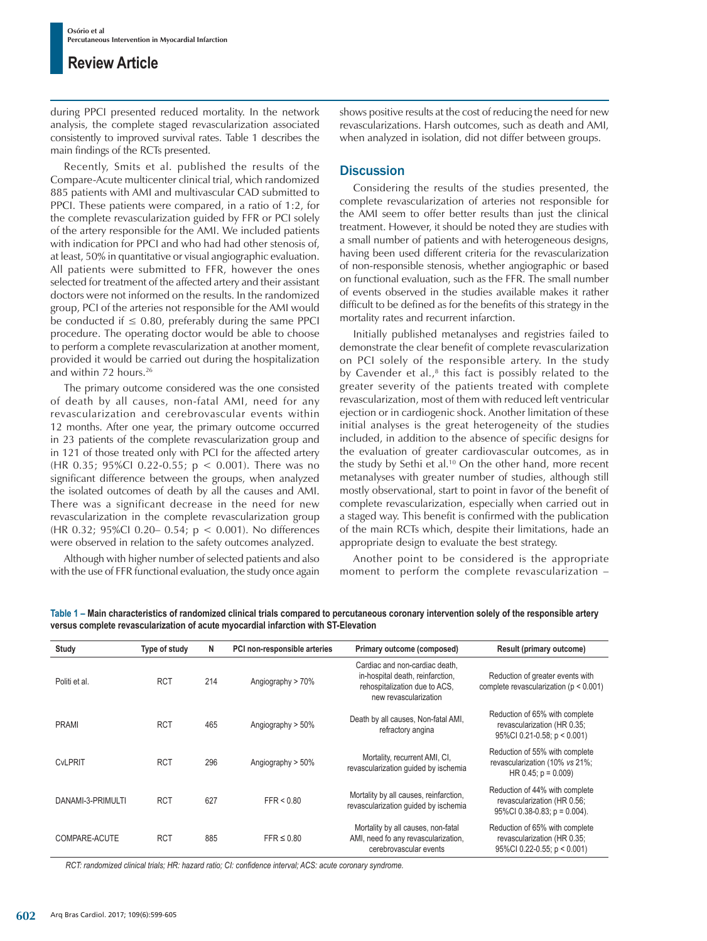during PPCI presented reduced mortality. In the network analysis, the complete staged revascularization associated consistently to improved survival rates. Table 1 describes the main findings of the RCTs presented.

Recently, Smits et al. published the results of the Compare-Acute multicenter clinical trial, which randomized 885 patients with AMI and multivascular CAD submitted to PPCI. These patients were compared, in a ratio of 1:2, for the complete revascularization guided by FFR or PCI solely of the artery responsible for the AMI. We included patients with indication for PPCI and who had had other stenosis of, at least, 50% in quantitative or visual angiographic evaluation. All patients were submitted to FFR, however the ones selected for treatment of the affected artery and their assistant doctors were not informed on the results. In the randomized group, PCI of the arteries not responsible for the AMI would be conducted if  $\leq$  0.80, preferably during the same PPCI procedure. The operating doctor would be able to choose to perform a complete revascularization at another moment, provided it would be carried out during the hospitalization and within 72 hours.<sup>26</sup>

The primary outcome considered was the one consisted of death by all causes, non-fatal AMI, need for any revascularization and cerebrovascular events within 12 months. After one year, the primary outcome occurred in 23 patients of the complete revascularization group and in 121 of those treated only with PCI for the affected artery (HR 0.35; 95%CI 0.22-0.55; p < 0.001). There was no significant difference between the groups, when analyzed the isolated outcomes of death by all the causes and AMI. There was a significant decrease in the need for new revascularization in the complete revascularization group (HR 0.32; 95%CI 0.20– 0.54; p < 0.001). No differences were observed in relation to the safety outcomes analyzed.

Although with higher number of selected patients and also with the use of FFR functional evaluation, the study once again shows positive results at the cost of reducing the need for new revascularizations. Harsh outcomes, such as death and AMI, when analyzed in isolation, did not differ between groups.

#### **Discussion**

Considering the results of the studies presented, the complete revascularization of arteries not responsible for the AMI seem to offer better results than just the clinical treatment. However, it should be noted they are studies with a small number of patients and with heterogeneous designs, having been used different criteria for the revascularization of non-responsible stenosis, whether angiographic or based on functional evaluation, such as the FFR. The small number of events observed in the studies available makes it rather difficult to be defined as for the benefits of this strategy in the mortality rates and recurrent infarction.

Initially published metanalyses and registries failed to demonstrate the clear benefit of complete revascularization on PCI solely of the responsible artery. In the study by Cavender et al., $^8$  this fact is possibly related to the greater severity of the patients treated with complete revascularization, most of them with reduced left ventricular ejection or in cardiogenic shock. Another limitation of these initial analyses is the great heterogeneity of the studies included, in addition to the absence of specific designs for the evaluation of greater cardiovascular outcomes, as in the study by Sethi et al.<sup>10</sup> On the other hand, more recent metanalyses with greater number of studies, although still mostly observational, start to point in favor of the benefit of complete revascularization, especially when carried out in a staged way. This benefit is confirmed with the publication of the main RCTs which, despite their limitations, hade an appropriate design to evaluate the best strategy.

Another point to be considered is the appropriate moment to perform the complete revascularization –

| Study             | Type of study | N   | PCI non-responsible arteries | Primary outcome (composed)                                                                                                   | Result (primary outcome)                                                                          |
|-------------------|---------------|-----|------------------------------|------------------------------------------------------------------------------------------------------------------------------|---------------------------------------------------------------------------------------------------|
| Politi et al.     | <b>RCT</b>    | 214 | Angiography > 70%            | Cardiac and non-cardiac death.<br>in-hospital death, reinfarction,<br>rehospitalization due to ACS.<br>new revascularization | Reduction of greater events with<br>complete revascularization ( $p < 0.001$ )                    |
| <b>PRAMI</b>      | <b>RCT</b>    | 465 | Angiography > 50%            | Death by all causes, Non-fatal AMI,<br>refractory angina                                                                     | Reduction of 65% with complete<br>revascularization (HR 0.35;<br>95%CI 0.21-0.58; p < 0.001)      |
| <b>CvLPRIT</b>    | <b>RCT</b>    | 296 | Angiography > 50%            | Mortality, recurrent AMI, CI,<br>revascularization quided by ischemia                                                        | Reduction of 55% with complete<br>revascularization (10% vs 21%;<br>HR 0.45; $p = 0.009$ )        |
| DANAMI-3-PRIMULTI | <b>RCT</b>    | 627 | FFR < 0.80                   | Mortality by all causes, reinfarction,<br>revascularization quided by ischemia                                               | Reduction of 44% with complete<br>revascularization (HR 0.56;<br>$95\%$ CI 0.38-0.83; p = 0.004). |
| COMPARE-ACUTE     | <b>RCT</b>    | 885 | $FFR \leq 0.80$              | Mortality by all causes, non-fatal<br>AMI, need fo any revascularization,<br>cerebrovascular events                          | Reduction of 65% with complete<br>revascularization (HR 0.35;<br>95%Cl 0.22-0.55; $p < 0.001$ )   |

**Table 1 – Main characteristics of randomized clinical trials compared to percutaneous coronary intervention solely of the responsible artery versus complete revascularization of acute myocardial infarction with ST-Elevation**

*RCT: randomized clinical trials; HR: hazard ratio; CI: confidence interval; ACS: acute coronary syndrome.*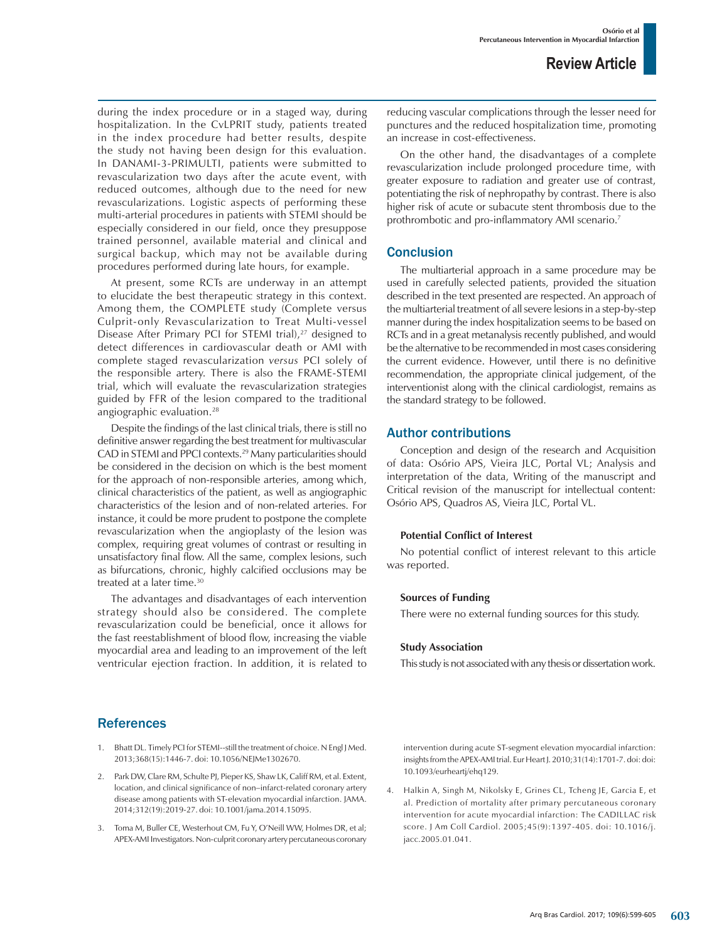during the index procedure or in a staged way, during hospitalization. In the CvLPRIT study, patients treated in the index procedure had better results, despite the study not having been design for this evaluation. In DANAMI-3-PRIMULTI, patients were submitted to revascularization two days after the acute event, with reduced outcomes, although due to the need for new revascularizations. Logistic aspects of performing these multi-arterial procedures in patients with STEMI should be especially considered in our field, once they presuppose trained personnel, available material and clinical and surgical backup, which may not be available during procedures performed during late hours, for example.

At present, some RCTs are underway in an attempt to elucidate the best therapeutic strategy in this context. Among them, the COMPLETE study (Complete versus Culprit-only Revascularization to Treat Multi-vessel Disease After Primary PCI for STEMI trial),<sup>27</sup> designed to detect differences in cardiovascular death or AMI with complete staged revascularization *versus* PCI solely of the responsible artery. There is also the FRAME-STEMI trial, which will evaluate the revascularization strategies guided by FFR of the lesion compared to the traditional angiographic evaluation.<sup>28</sup>

Despite the findings of the last clinical trials, there is still no definitive answer regarding the best treatment for multivascular CAD in STEMI and PPCI contexts.29 Many particularities should be considered in the decision on which is the best moment for the approach of non-responsible arteries, among which, clinical characteristics of the patient, as well as angiographic characteristics of the lesion and of non-related arteries. For instance, it could be more prudent to postpone the complete revascularization when the angioplasty of the lesion was complex, requiring great volumes of contrast or resulting in unsatisfactory final flow. All the same, complex lesions, such as bifurcations, chronic, highly calcified occlusions may be treated at a later time.30

The advantages and disadvantages of each intervention strategy should also be considered. The complete revascularization could be beneficial, once it allows for the fast reestablishment of blood flow, increasing the viable myocardial area and leading to an improvement of the left ventricular ejection fraction. In addition, it is related to reducing vascular complications through the lesser need for punctures and the reduced hospitalization time, promoting an increase in cost-effectiveness.

On the other hand, the disadvantages of a complete revascularization include prolonged procedure time, with greater exposure to radiation and greater use of contrast, potentiating the risk of nephropathy by contrast. There is also higher risk of acute or subacute stent thrombosis due to the prothrombotic and pro-inflammatory AMI scenario.<sup>7</sup>

#### **Conclusion**

The multiarterial approach in a same procedure may be used in carefully selected patients, provided the situation described in the text presented are respected. An approach of the multiarterial treatment of all severe lesions in a step-by-step manner during the index hospitalization seems to be based on RCTs and in a great metanalysis recently published, and would be the alternative to be recommended in most cases considering the current evidence. However, until there is no definitive recommendation, the appropriate clinical judgement, of the interventionist along with the clinical cardiologist, remains as the standard strategy to be followed.

#### Author contributions

Conception and design of the research and Acquisition of data: Osório APS, Vieira JLC, Portal VL; Analysis and interpretation of the data, Writing of the manuscript and Critical revision of the manuscript for intellectual content: Osório APS, Quadros AS, Vieira JLC, Portal VL.

#### **Potential Conflict of Interest**

No potential conflict of interest relevant to this article was reported.

#### **Sources of Funding**

There were no external funding sources for this study.

#### **Study Association**

This study is not associated with any thesis or dissertation work.

#### References

- 1. Bhatt DL. Timely PCI for STEMI--still the treatment of choice. N Engl J Med. 2013;368(15):1446-7. doi: 10.1056/NEJMe1302670.
- 2. Park DW, Clare RM, Schulte PJ, Pieper KS, Shaw LK, Califf RM, et al. Extent, location, and clinical significance of non–infarct-related coronary artery disease among patients with ST-elevation myocardial infarction. JAMA. 2014;312(19):2019-27. doi: 10.1001/jama.2014.15095.
- 3. Toma M, Buller CE, Westerhout CM, Fu Y, O'Neill WW, Holmes DR, et al; APEX-AMI Investigators. Non-culprit coronary artery percutaneous coronary

intervention during acute ST-segment elevation myocardial infarction: insights from the APEX-AMI trial. Eur Heart J. 2010;31(14):1701-7. doi: doi: 10.1093/eurheartj/ehq129.

4. Halkin A, Singh M, Nikolsky E, Grines CL, Tcheng JE, Garcia E, et al. Prediction of mortality after primary percutaneous coronary intervention for acute myocardial infarction: The CADILLAC risk score. J Am Coll Cardiol. 2005;45(9):1397-405. doi: 10.1016/j. jacc.2005.01.041.